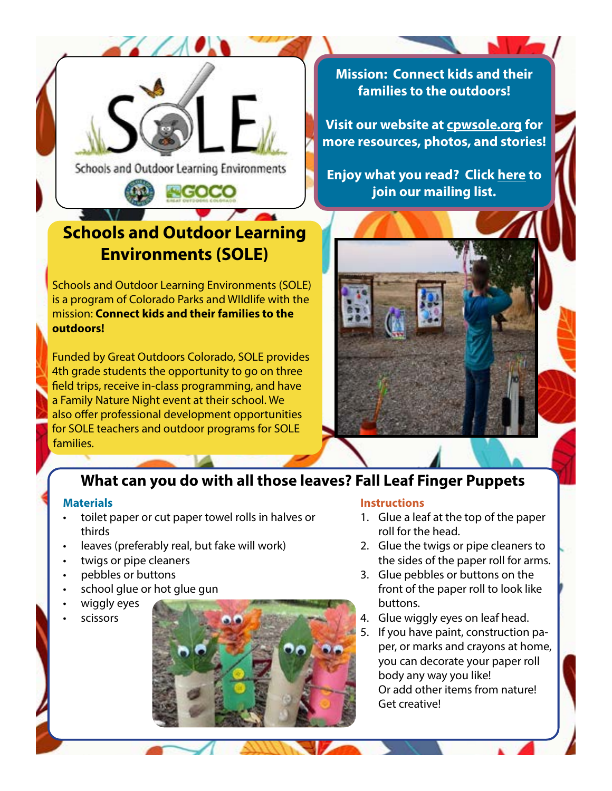

Schools and Outdoor Learning Environments

# **Schools and Outdoor Learning Environments (SOLE)**

Schools and Outdoor Learning Environments (SOLE) is a program of Colorado Parks and WIldlife with the mission: **Connect kids and their families to the outdoors!** 

Funded by Great Outdoors Colorado, SOLE provides 4th grade students the opportunity to go on three field trips, receive in-class programming, and have a Family Nature Night event at their school. We also offer professional development opportunities for SOLE teachers and outdoor programs for SOLE families.

**Mission: Connect kids and their families to the outdoors!**

**Visit our website at [cpwsole.org](http://www.cpwsole.org) for more resources, photos, and stories!**

**Enjoy what you read? Click [here](https://docs.google.com/forms/d/1vSoZGlF0KOzwPwvJ2562ubgu08r8tNKD0CL7WhVGVEQ/edit) to join our mailing list.**



## **What can you do with all those leaves? Fall Leaf Finger Puppets**

#### **Materials**

- toilet paper or cut paper towel rolls in halves or thirds
- leaves (preferably real, but fake will work)
- twigs or pipe cleaners
- pebbles or buttons
- school glue or hot glue gun
- wiggly eyes

• scissors



#### **Instructions**

- 1. Glue a leaf at the top of the paper roll for the head.
- 2. Glue the twigs or pipe cleaners to the sides of the paper roll for arms.
- 3. Glue pebbles or buttons on the front of the paper roll to look like buttons.
- 4. Glue wiggly eyes on leaf head.
- 5. If you have paint, construction paper, or marks and crayons at home, you can decorate your paper roll body any way you like! Or add other items from nature! Get creative!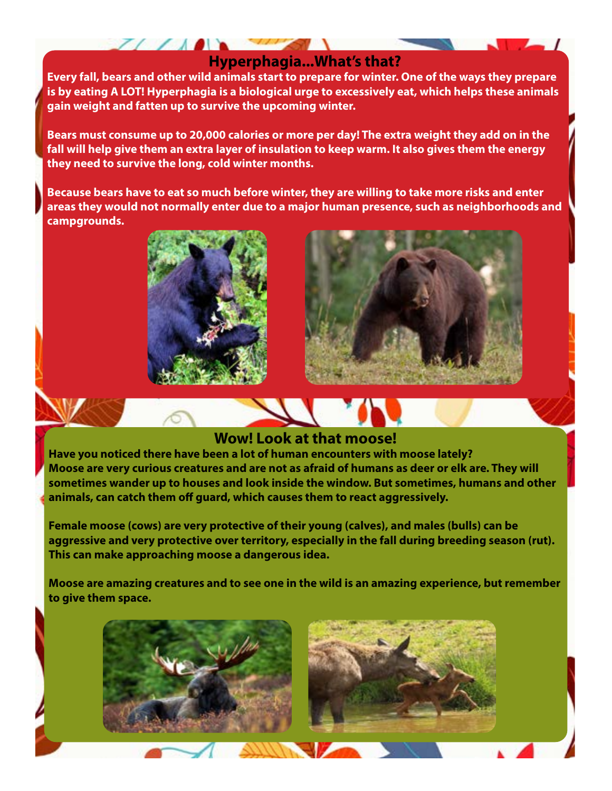### **Hyperphagia...What's that?**

**Every fall, bears and other wild animals start to prepare for winter. One of the ways they prepare is by eating A LOT! Hyperphagia is a biological urge to excessively eat, which helps these animals gain weight and fatten up to survive the upcoming winter.** 

**Bears must consume up to 20,000 calories or more per day! The extra weight they add on in the fall will help give them an extra layer of insulation to keep warm. It also gives them the energy they need to survive the long, cold winter months.** 

**Because bears have to eat so much before winter, they are willing to take more risks and enter areas they would not normally enter due to a major human presence, such as neighborhoods and campgrounds.** 



 $(10)$ 



#### **Wow! Look at that moose!**

**Have you noticed there have been a lot of human encounters with moose lately? Moose are very curious creatures and are not as afraid of humans as deer or elk are. They will sometimes wander up to houses and look inside the window. But sometimes, humans and other animals, can catch them off guard, which causes them to react aggressively.**

**Female moose (cows) are very protective of their young (calves), and males (bulls) can be aggressive and very protective over territory, especially in the fall during breeding season (rut). This can make approaching moose a dangerous idea.** 

**Moose are amazing creatures and to see one in the wild is an amazing experience, but remember to give them space.** 

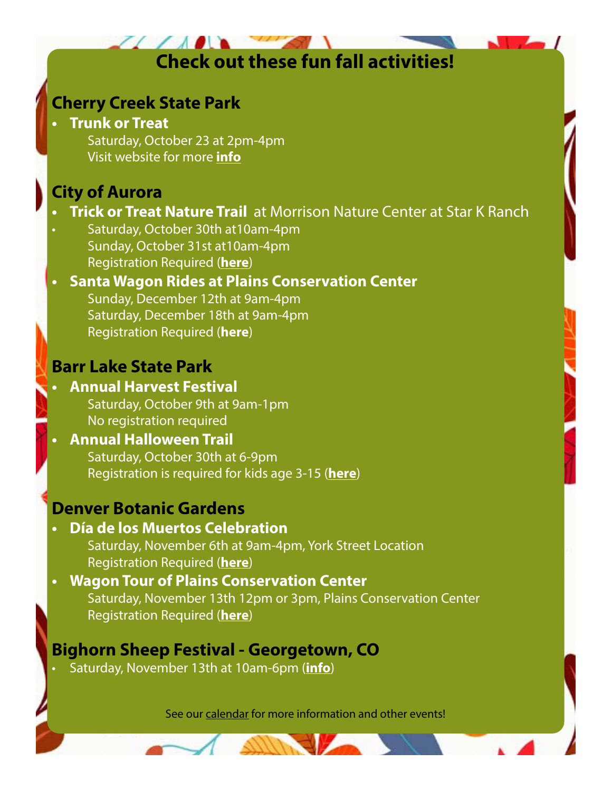# **Check out these fun fall activities!**

## **Cherry Creek State Park**

#### **• Trunk or Treat**

Saturday, October 23 at 2pm-4pm Visit website for more **[info](https://cpw.state.co.us/aboutus/pages/calendar.aspx?calid=8771)**

## **City of Aurora**

## **Frick or Treat Nature Trail** at Morrison Nature Center at Star K Ranch

Saturday, October 30th at 10am-4pm Sunday, October 31st at10am-4pm Registration Required (**[here](https://cityofaurora.perfectmind.com/24143/Clients/BookMe4BookingPages/BookingCoursesPage?calendarId=8afd3497-edcd-4664-85e9-85329cc3ceb4&widgetId=7417a4ab-f4a6-4280-8864-54bc6237caa0&embed=False)**)

#### **• Santa Wagon Rides at Plains Conservation Center** Sunday, December 12th at 9am-4pm Saturday, December 18th at 9am-4pm Registration Required (**[here](https://catalog.botanicgardens.org/default.aspx?tagid=36&from=03%2f23%2f)**)

## **Barr Lake State Park**

#### **• Annual Harvest Festival** Saturday, October 9th at 9am-1pm No registration required

### **• Annual Halloween Trail**  Saturday, October 30th at 6-9pm Registration is required for kids age 3-15 (**h[ere](https://www.signupgenius.com/go/70a0a4faeaa2ca7fe3-10th)**)

## **Denver Botanic Gardens**

### **• Día de los Muertos Celebration**

Saturday, November 6th at 9am-4pm, York Street Location Registration Required (**[here](https://www.botanicgardens.org/events/special-events/dia-de-los-muertos-celebration)**)

#### **• Wagon Tour of Plains Conservation Center** Saturday, November 13th 12pm or 3pm, Plains Conservation Center Registration Required (**[here](https://catalog.botanicgardens.org/DateSelection.aspx?item=4188)**)

## **Bighorn Sheep Festival - Georgetown, CO**

• Saturday, November 13th at 10am-6pm (**[info](https://visitclearcreek.com/events/)**)

See our [calendar](https://cpw.state.co.us/aboutus/Pages/Calendar.aspx) for more information and other events!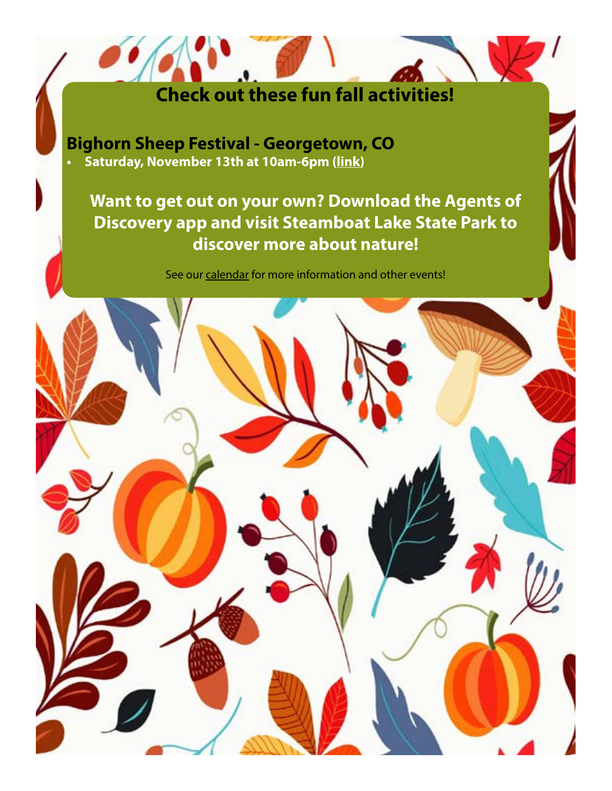# **Check out these fun fall activities!**

**Bighorn Sheep Festival - Georgetown, CO • Saturday, November 13th at 10am-6pm ([link](https://visitclearcreek.com/events/))**

## **Want to get out on your own? Download the Agents of Discovery app and visit Steamboat Lake State Park to discover more about nature!**

See our [calendar](https://cpw.state.co.us/aboutus/pages/calendar.aspx) for more information and other events!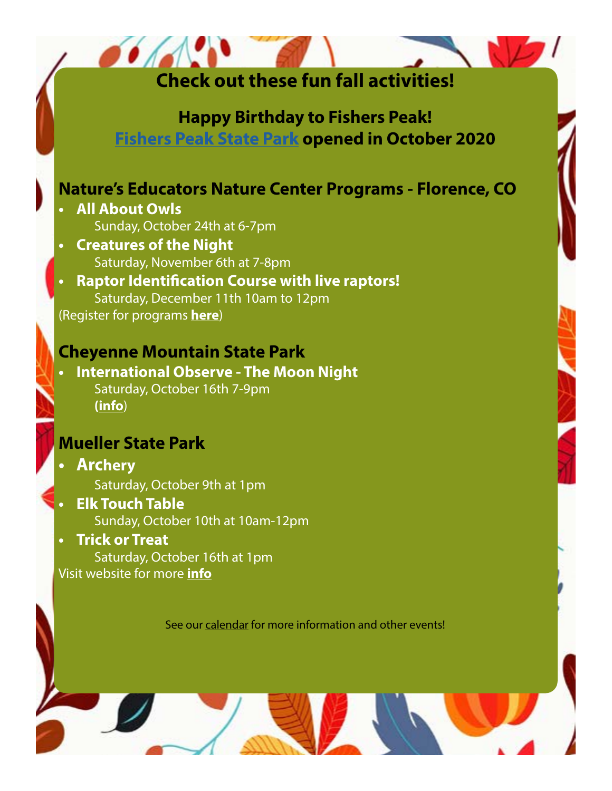| <b>Check out these fun fall activities!</b>                                                                                                                                                                                                                                                                                                                                                                             |  |
|-------------------------------------------------------------------------------------------------------------------------------------------------------------------------------------------------------------------------------------------------------------------------------------------------------------------------------------------------------------------------------------------------------------------------|--|
| <b>Happy Birthday to Fishers Peak!</b><br><b>Fishers Peak State Park opened in October 2020</b>                                                                                                                                                                                                                                                                                                                         |  |
| <b>Nature's Educators Nature Center Programs - Florence, CO</b><br><b>All About Owls</b><br>Sunday, October 24th at 6-7pm<br><b>Creatures of the Night</b><br>Saturday, November 6th at 7-8pm<br><b>Raptor Identification Course with live raptors!</b><br>Saturday, December 11th 10am to 12pm<br>(Register for programs here)<br><b>Cheyenne Mountain State Park</b><br><b>International Observe - The Moon Night</b> |  |
| Saturday, October 16th 7-9pm<br>(info)                                                                                                                                                                                                                                                                                                                                                                                  |  |
| <b>Mueller State Park</b><br><b>Archery</b><br>Saturday, October 9th at 1pm<br><b>Elk Touch Table</b><br>Sunday, October 10th at 10am-12pm<br><b>Trick or Treat</b><br>Saturday, October 16th at 1pm<br>Visit website for more <i>info</i>                                                                                                                                                                              |  |
| See our calendar for more information and other events!                                                                                                                                                                                                                                                                                                                                                                 |  |

W